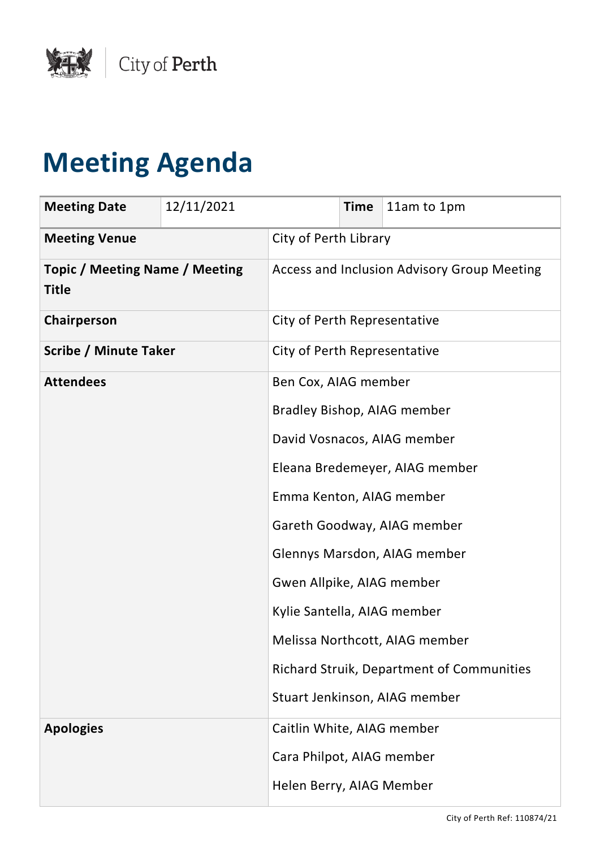

## **Meeting Agenda**

| <b>Meeting Date</b>                                   | 12/11/2021 |                                             | <b>Time</b> | 11am to 1pm                               |
|-------------------------------------------------------|------------|---------------------------------------------|-------------|-------------------------------------------|
| <b>Meeting Venue</b>                                  |            | City of Perth Library                       |             |                                           |
| <b>Topic / Meeting Name / Meeting</b><br><b>Title</b> |            | Access and Inclusion Advisory Group Meeting |             |                                           |
| Chairperson                                           |            | City of Perth Representative                |             |                                           |
| <b>Scribe / Minute Taker</b>                          |            | City of Perth Representative                |             |                                           |
| <b>Attendees</b>                                      |            | Ben Cox, AIAG member                        |             |                                           |
|                                                       |            | <b>Bradley Bishop, AIAG member</b>          |             |                                           |
|                                                       |            | David Vosnacos, AIAG member                 |             |                                           |
|                                                       |            | Eleana Bredemeyer, AIAG member              |             |                                           |
|                                                       |            | Emma Kenton, AIAG member                    |             |                                           |
|                                                       |            |                                             |             | Gareth Goodway, AIAG member               |
|                                                       |            |                                             |             | Glennys Marsdon, AIAG member              |
|                                                       |            | Gwen Allpike, AIAG member                   |             |                                           |
|                                                       |            | Kylie Santella, AIAG member                 |             |                                           |
|                                                       |            |                                             |             | Melissa Northcott, AIAG member            |
|                                                       |            |                                             |             | Richard Struik, Department of Communities |
|                                                       |            |                                             |             | Stuart Jenkinson, AIAG member             |
| <b>Apologies</b>                                      |            | Caitlin White, AIAG member                  |             |                                           |
|                                                       |            | Cara Philpot, AIAG member                   |             |                                           |
|                                                       |            | Helen Berry, AIAG Member                    |             |                                           |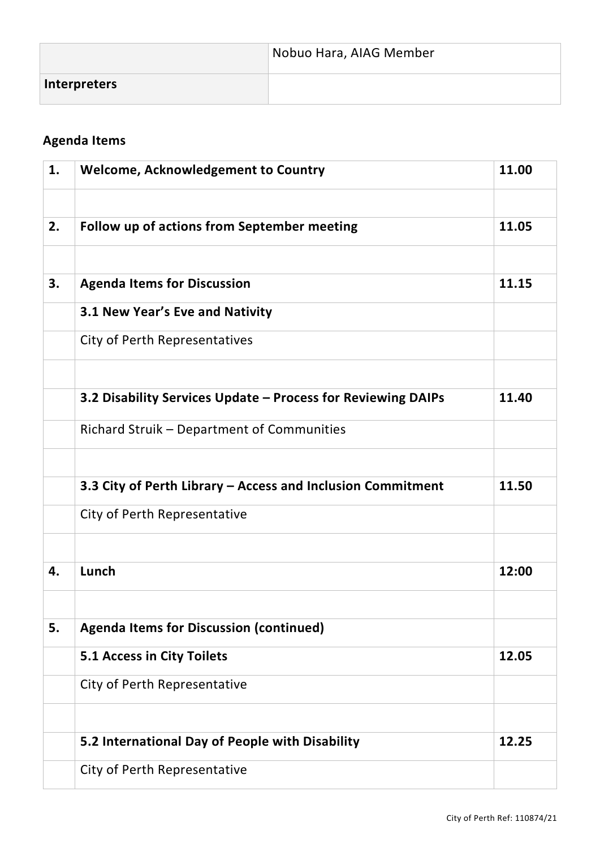|                     | Nobuo Hara, AIAG Member |
|---------------------|-------------------------|
| <b>Interpreters</b> |                         |

## **Agenda Items**

| 1. | <b>Welcome, Acknowledgement to Country</b>                   | 11.00 |
|----|--------------------------------------------------------------|-------|
|    |                                                              |       |
| 2. | Follow up of actions from September meeting                  | 11.05 |
|    |                                                              |       |
| 3. | <b>Agenda Items for Discussion</b>                           | 11.15 |
|    | 3.1 New Year's Eve and Nativity                              |       |
|    | City of Perth Representatives                                |       |
|    |                                                              |       |
|    | 3.2 Disability Services Update - Process for Reviewing DAIPs | 11.40 |
|    | Richard Struik - Department of Communities                   |       |
|    |                                                              |       |
|    | 3.3 City of Perth Library - Access and Inclusion Commitment  | 11.50 |
|    | City of Perth Representative                                 |       |
|    |                                                              |       |
| 4. | Lunch                                                        | 12:00 |
|    |                                                              |       |
| 5. | <b>Agenda Items for Discussion (continued)</b>               |       |
|    | 5.1 Access in City Toilets                                   | 12.05 |
|    | City of Perth Representative                                 |       |
|    |                                                              |       |
|    | 5.2 International Day of People with Disability              | 12.25 |
|    | City of Perth Representative                                 |       |